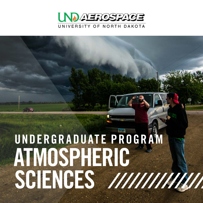

# **Designation** UNDERGRADUATE PROGRAM ATMOSPHERIC SCIENCES ////////////////

ATMOSPHERIC SCIENCES <sup>1</sup>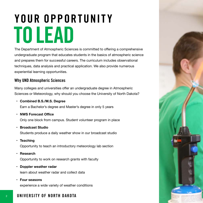# YOUR OPPORTUNITY TO LEAD

The Department of Atmospheric Sciences is committed to offering a comprehensive undergraduate program that educates students in the basics of atmospheric science and prepares them for successful careers. The curriculum includes observational techniques, data analysis and practical application. We also provide numerous experiential learning opportunities.

# Why UND Atmospheric Sciences

Many colleges and universities offer an undergraduate degree in Atmospheric Sciences or Meteorology, why should you choose the University of North Dakota?

**• Combined B.S./M.S. Degree**

Earn a Bachelor's degree and Master's degree in only 5 years

- **• NWS Forecast Office** Only one block from campus. Student volunteer program in place
- **• Broadcast Studio** Students produce a daily weather show in our broadcast studio
- **• Teaching** Opportunity to teach an introductory meteorology lab section
- **• Research** Opportunity to work on research grants with faculty
- **Doppler** weather radar learn about weather radar and collect data
- **• Four seasons** experience a wide variety of weather conditions

# <sup>2</sup> UNIVERSITY OF NORTH DAKOTA

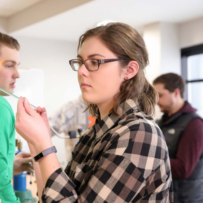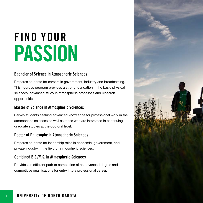# FIND YOUR PASSION

### Bachelor of Science in Atmospheric Sciences

Prepares students for careers in government, industry and broadcasting. This rigorous program provides a strong foundation in the basic physical sciences, advanced study in atmospheric processes and research opportunities.

#### Master of Science in Atmospheric Sciences

Serves students seeking advanced knowledge for professional work in the atmospheric sciences as well as those who are interested in continuing graduate studies at the doctoral level.

#### Doctor of Philosophy in Atmospheric Sciences

Prepares students for leadership roles in academia, government, and private industry in the field of atmospheric sciences.

# Combined B.S./M.S. in Atmospheric Sciences

Provides an efficient path to completion of an advanced degree and competitive qualifications for entry into a professional career.

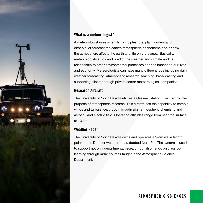

# What is a meteorologist?

A meteorologist uses scientific principles to explain, understand, observe, or forecast the earth's atmospheric phenomena and/or how the atmosphere affects the earth and life on the planet. Basically, meteorologists study and predict the weather and climate and its relationship to other environmental processes and the impact on our lives and economy. Meteorologists can have many different jobs including daily weather forecasting, atmospheric research, teaching, broadcasting and supporting clients through private sector meteorological companies.

### Research Aircraft

The University of North Dakota utilizes a Cessna Citation II aircraft for the purpose of atmospheric research. This aircraft has the capability to sample winds and turbulence, cloud microphysics, atmospheric chemistry and aerosol, and electric field. Operating altitudes range from near the surface to 13 km.

#### Weather Radar

The University of North Dakota owns and operates a 5-cm wave length polarimetric Doppler weather radar, dubbed NorthPol. The system is used to support not only departmental research but also hands on classroom learning through radar courses taught in the Atmospheric Science Department.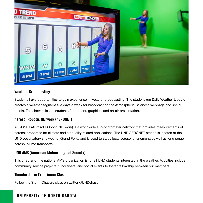

### Weather Broadcasting

Students have opportunities to gain experience in weather broadcasting. The student-run Daily Weather Update creates a weather segment five days a week for broadcast on the Atmospheric Sciences webpage and social media. The show relies on students for content, graphics, and on-air presentation.

# Aerosol Robotic NETwork (AERONET)

AERONET (AErosol RObotic NETwork) is a worldwide sun-photometer network that provides measurements of aerosol properties for climate and air quality related applications. The UND AERONET station is located at the UND observatory site west of Grand Forks and is used to study local aerosol phenomena as well as long range aerosol plume transports.

### UND AMS (American Meteorological Society)

This chapter of the national AMS organization is for all UND students interested in the weather. Activities include community service projects, fundraisers, and social events to foster fellowship between our members.

#### Thunderstorm Experience Class

Follow the Storm Chasers class on twitter @UNDchase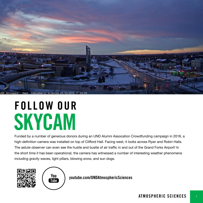

# FOLLOW OUR SKYCAM

Funded by a number of generous donors during an UND Alumni Assocation Crowdfunding campaign in 2018, a high-definition camera was installed on top of Clifford Hall. Facing west, it looks across Ryan and Robin Halls. The astute observer can even see the hustle and bustle of air traffic in and out of the Grand Forks Airport! In the short time it has been operational, the camera has witnessed a number of interesting weather phenomena including gravity waves, light pillars, blowing snow, and sun dogs.





youtube.com/UNDAtmosphericSciences